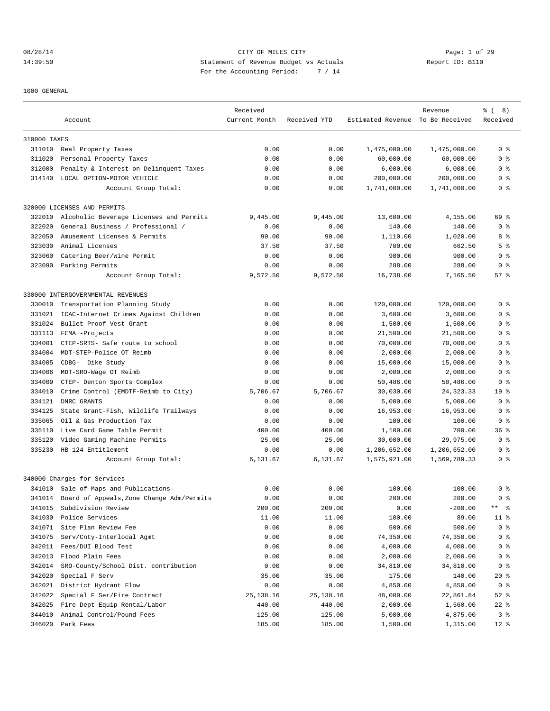# 08/28/14 Page: 1 of 29 14:39:50 Statement of Revenue Budget vs Actuals Report ID: B110 For the Accounting Period: 7 / 14

1000 GENERAL

|              |                                           | Received      |              |                                  | Revenue      | % (8)                |
|--------------|-------------------------------------------|---------------|--------------|----------------------------------|--------------|----------------------|
|              | Account                                   | Current Month | Received YTD | Estimated Revenue To Be Received |              | Received             |
| 310000 TAXES |                                           |               |              |                                  |              |                      |
|              | 311010 Real Property Taxes                | 0.00          | 0.00         | 1,475,000.00                     | 1,475,000.00 | 0 <sup>8</sup>       |
| 311020       | Personal Property Taxes                   | 0.00          | 0.00         | 60,000.00                        | 60,000.00    | 0 <sup>8</sup>       |
| 312000       | Penalty & Interest on Delinquent Taxes    | 0.00          | 0.00         | 6,000.00                         | 6,000.00     | 0 <sup>8</sup>       |
| 314140       | LOCAL OPTION-MOTOR VEHICLE                | 0.00          | 0.00         | 200,000.00                       | 200,000.00   | 0 <sup>8</sup>       |
|              | Account Group Total:                      | 0.00          | 0.00         | 1,741,000.00                     | 1,741,000.00 | 0 %                  |
|              | 320000 LICENSES AND PERMITS               |               |              |                                  |              |                      |
| 322010       | Alcoholic Beverage Licenses and Permits   | 9,445.00      | 9,445.00     | 13,600.00                        | 4,155.00     | 69 %                 |
| 322020       | General Business / Professional /         | 0.00          | 0.00         | 140.00                           | 140.00       | 0 <sub>8</sub>       |
| 322050       | Amusement Licenses & Permits              | 90.00         | 90.00        | 1,110.00                         | 1,020.00     | 8 %                  |
| 323030       | Animal Licenses                           | 37.50         | 37.50        | 700.00                           | 662.50       | 5 <sup>8</sup>       |
| 323060       | Catering Beer/Wine Permit                 | 0.00          | 0.00         | 900.00                           | 900.00       | 0 <sup>8</sup>       |
| 323090       | Parking Permits                           | 0.00          | 0.00         | 288.00                           | 288.00       | 0 <sup>8</sup>       |
|              | Account Group Total:                      | 9,572.50      | 9,572.50     | 16,738.00                        | 7,165.50     | 57%                  |
|              | 330000 INTERGOVERNMENTAL REVENUES         |               |              |                                  |              |                      |
| 330010       | Transportation Planning Study             | 0.00          | 0.00         | 120,000.00                       | 120,000.00   | 0 <sup>8</sup>       |
| 331021       | ICAC-Internet Crimes Against Children     | 0.00          | 0.00         | 3,600.00                         | 3,600.00     | 0 <sup>8</sup>       |
| 331024       | Bullet Proof Vest Grant                   | 0.00          | 0.00         | 1,500.00                         | 1,500.00     | 0 <sup>8</sup>       |
| 331113       | FEMA -Projects                            | 0.00          | 0.00         | 21,500.00                        | 21,500.00    | 0 %                  |
| 334001       | CTEP-SRTS- Safe route to school           | 0.00          | 0.00         | 70,000.00                        | 70,000.00    | 0 <sup>8</sup>       |
| 334004       | MDT-STEP-Police OT Reimb                  | 0.00          | 0.00         | 2,000.00                         | 2,000.00     | 0 <sup>8</sup>       |
| 334005       | CDBG- Dike Study                          | 0.00          | 0.00         | 15,000.00                        | 15,000.00    | 0 <sup>8</sup>       |
| 334006       | MDT-SRO-Wage OT Reimb                     | 0.00          | 0.00         | 2,000.00                         | 2,000.00     | 0 <sup>8</sup>       |
| 334009       | CTEP- Denton Sports Complex               | 0.00          | 0.00         | 50,486.00                        | 50,486.00    | 0 <sup>8</sup>       |
| 334010       | Crime Control (EMDTF-Reimb to City)       | 5,706.67      | 5,706.67     | 30,030.00                        | 24, 323. 33  | 19 <sup>°</sup>      |
| 334121       | DNRC GRANTS                               | 0.00          | 0.00         | 5,000.00                         | 5,000.00     | 0 <sup>8</sup>       |
| 334125       | State Grant-Fish, Wildlife Trailways      | 0.00          | 0.00         | 16,953.00                        | 16,953.00    | 0 <sub>8</sub>       |
| 335065       | Oil & Gas Production Tax                  | 0.00          | 0.00         | 100.00                           | 100.00       | 0 <sub>8</sub>       |
| 335110       | Live Card Game Table Permit               | 400.00        | 400.00       | 1,100.00                         | 700.00       | 368                  |
| 335120       | Video Gaming Machine Permits              | 25.00         | 25.00        | 30,000.00                        | 29,975.00    | 0 <sup>8</sup>       |
| 335230       | HB 124 Entitlement                        | 0.00          | 0.00         | 1,206,652.00                     | 1,206,652.00 | 0 <sup>8</sup>       |
|              | Account Group Total:                      | 6,131.67      | 6,131.67     | 1,575,921.00                     | 1,569,789.33 | 0 <sup>8</sup>       |
|              | 340000 Charges for Services               |               |              |                                  |              |                      |
|              | 341010 Sale of Maps and Publications      | 0.00          | 0.00         | 100.00                           | 100.00       | 0 <sup>8</sup>       |
| 341014       | Board of Appeals, Zone Change Adm/Permits | 0.00          | 0.00         | 200.00                           | 200.00       | 0 <sup>8</sup>       |
| 341015       | Subdivision Review                        | 200.00        | 200.00       | 0.00                             | $-200.00$    | $***$ $ \frac{6}{9}$ |
| 341030       | Police Services                           | 11.00         | 11.00        | 100.00                           | 89.00        | $11$ %               |
| 341071       | Site Plan Review Fee                      | 0.00          | 0.00         | 500.00                           | 500.00       | 0 <sup>8</sup>       |
| 341075       | Serv/Cnty-Interlocal Agmt                 | 0.00          | 0.00         | 74,350.00                        | 74,350.00    | 0 <sup>8</sup>       |
| 342011       | Fees/DUI Blood Test                       | 0.00          | 0.00         | 4,000.00                         | 4,000.00     | 0 <sup>8</sup>       |
| 342013       | Flood Plain Fees                          | 0.00          | 0.00         | 2,000.00                         | 2,000.00     | 0 %                  |
| 342014       | SRO-County/School Dist. contribution      | 0.00          | 0.00         | 34,810.00                        | 34,810.00    | 0 <sup>8</sup>       |
| 342020       | Special F Serv                            | 35.00         | 35.00        | 175.00                           | 140.00       | $20*$                |
| 342021       | District Hydrant Flow                     | 0.00          | 0.00         | 4,850.00                         | 4,850.00     | 0 <sup>8</sup>       |
| 342022       | Special F Ser/Fire Contract               | 25, 138. 16   | 25,138.16    | 48,000.00                        | 22,861.84    | $52$ $%$             |
| 342025       | Fire Dept Equip Rental/Labor              | 440.00        | 440.00       | 2,000.00                         | 1,560.00     | $22$ %               |
| 344010       | Animal Control/Pound Fees                 | 125.00        | 125.00       | 5,000.00                         | 4,875.00     | 3%                   |
|              | 346020 Park Fees                          | 185.00        | 185.00       | 1,500.00                         | 1,315.00     | $12*$                |
|              |                                           |               |              |                                  |              |                      |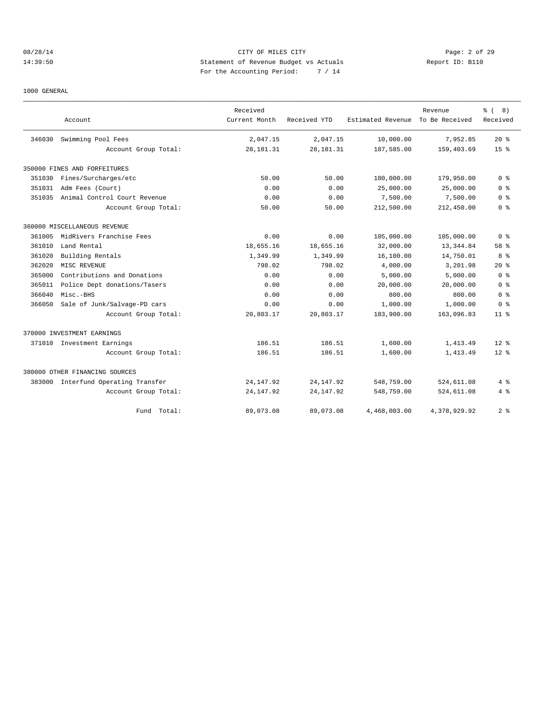# 08/28/14 CITY OF MILES CITY Page: 2 of 29 14:39:50 Statement of Revenue Budget vs Actuals Report ID: B110 For the Accounting Period: 7 / 14

#### 1000 GENERAL

|        | Account                        | Received<br>Current Month | Received YTD | Estimated Revenue | Revenue<br>To Be Received | ී (<br>8)<br>Received |
|--------|--------------------------------|---------------------------|--------------|-------------------|---------------------------|-----------------------|
|        |                                |                           |              |                   |                           |                       |
| 346030 | Swimming Pool Fees             | 2,047.15                  | 2,047.15     | 10,000.00         | 7,952.85                  | $20*$                 |
|        | Account Group Total:           | 28, 181. 31               | 28, 181. 31  | 187,585.00        | 159,403.69                | 15 <sup>8</sup>       |
|        | 350000 FINES AND FORFEITURES   |                           |              |                   |                           |                       |
| 351030 | Fines/Surcharges/etc           | 50.00                     | 50.00        | 180,000.00        | 179,950.00                | 0 <sup>8</sup>        |
| 351031 | Adm Fees (Court)               | 0.00                      | 0.00         | 25,000.00         | 25,000.00                 | 0 <sup>8</sup>        |
| 351035 | Animal Control Court Revenue   | 0.00                      | 0.00         | 7,500.00          | 7,500.00                  | 0 <sup>8</sup>        |
|        | Account Group Total:           | 50.00                     | 50.00        | 212,500.00        | 212,450.00                | 0 <sub>8</sub>        |
|        | 360000 MISCELLANEOUS REVENUE   |                           |              |                   |                           |                       |
| 361005 | MidRivers Franchise Fees       | 0.00                      | 0.00         | 105,000.00        | 105,000.00                | 0 <sup>8</sup>        |
| 361010 | Land Rental                    | 18,655.16                 | 18,655.16    | 32,000.00         | 13, 344.84                | 58 %                  |
| 361020 | Building Rentals               | 1,349.99                  | 1,349.99     | 16,100.00         | 14,750.01                 | 8 %                   |
| 362020 | MISC REVENUE                   | 798.02                    | 798.02       | 4,000.00          | 3,201.98                  | $20*$                 |
| 365000 | Contributions and Donations    | 0.00                      | 0.00         | 5,000.00          | 5,000.00                  | 0 <sup>8</sup>        |
| 365011 | Police Dept donations/Tasers   | 0.00                      | 0.00         | 20,000.00         | 20,000.00                 | 0 <sup>8</sup>        |
| 366040 | Misc.-BHS                      | 0.00                      | 0.00         | 800.00            | 800.00                    | 0 <sup>8</sup>        |
| 366050 | Sale of Junk/Salvage-PD cars   | 0.00                      | 0.00         | 1,000.00          | 1,000.00                  | 0 <sup>8</sup>        |
|        | Account Group Total:           | 20,803.17                 | 20,803.17    | 183,900.00        | 163,096.83                | 11 <sup>8</sup>       |
|        | 370000 INVESTMENT EARNINGS     |                           |              |                   |                           |                       |
|        | 371010 Investment Earnings     | 186.51                    | 186.51       | 1,600.00          | 1,413.49                  | $12*$                 |
|        | Account Group Total:           | 186.51                    | 186.51       | 1,600.00          | 1,413.49                  | $12*$                 |
|        | 380000 OTHER FINANCING SOURCES |                           |              |                   |                           |                       |
| 383000 | Interfund Operating Transfer   | 24, 147. 92               | 24, 147.92   | 548,759.00        | 524,611.08                | 4 %                   |
|        | Account Group Total:           | 24, 147.92                | 24, 147.92   | 548,759.00        | 524,611.08                | 4%                    |
|        | Total:<br>Fund                 | 89,073.08                 | 89,073.08    | 4,468,003.00      | 4,378,929.92              | 2 <sup>8</sup>        |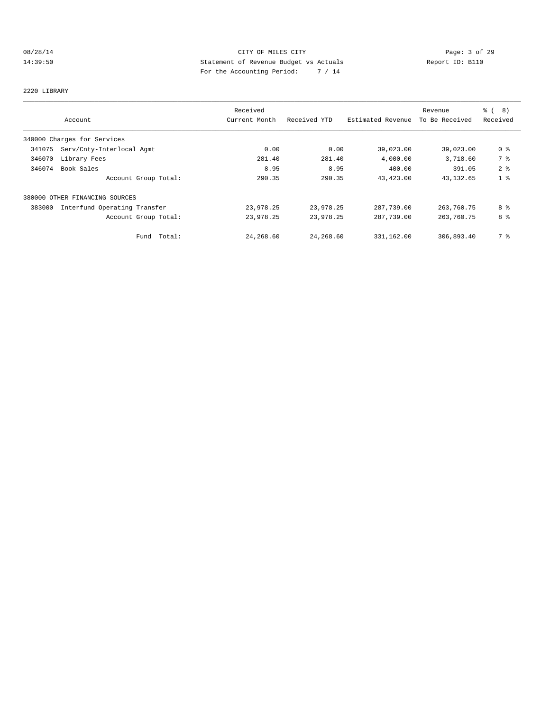# 08/28/14 CITY OF MILES CITY Page: 3 of 29 14:39:50 Statement of Revenue Budget vs Actuals Report ID: B110 For the Accounting Period: 7 / 14

2220 LIBRARY

|        |                                | Received      |              |                   | Revenue        | <b>%</b> (<br>(8) |
|--------|--------------------------------|---------------|--------------|-------------------|----------------|-------------------|
|        | Account                        | Current Month | Received YTD | Estimated Revenue | To Be Received | Received          |
|        | 340000 Charges for Services    |               |              |                   |                |                   |
| 341075 | Serv/Cnty-Interlocal Agmt      | 0.00          | 0.00         | 39,023.00         | 39,023.00      | 0 <sub>8</sub>    |
| 346070 | Library Fees                   | 281.40        | 281.40       | 4,000.00          | 3,718.60       | 7 %               |
| 346074 | Book Sales                     | 8.95          | 8.95         | 400.00            | 391.05         | 2 <sub>8</sub>    |
|        | Account Group Total:           | 290.35        | 290.35       | 43,423.00         | 43,132.65      | 1 <sup>°</sup>    |
|        | 380000 OTHER FINANCING SOURCES |               |              |                   |                |                   |
| 383000 | Interfund Operating Transfer   | 23,978.25     | 23,978.25    | 287,739.00        | 263,760.75     | 8 %               |
|        | Account Group Total:           | 23,978.25     | 23,978.25    | 287,739.00        | 263,760.75     | 8 %               |
|        | Total:<br>Fund                 | 24,268.60     | 24,268.60    | 331,162.00        | 306,893.40     | 7 %               |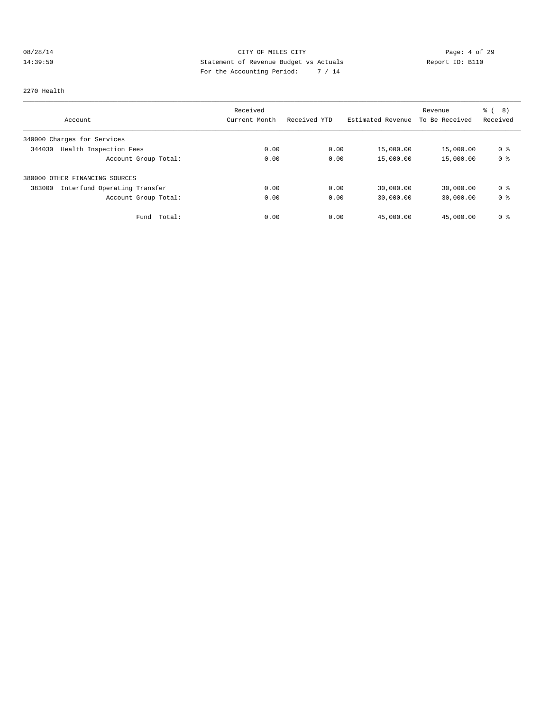# 08/28/14 CITY OF MILES CITY Page: 4 of 29 14:39:50 Statement of Revenue Budget vs Actuals Report ID: B110<br>Report ID: B110 For the Accounting Period: 7 / 14

#### 2270 Health

|                                        | Received      |              |                   | Revenue        | % ( 8 )        |
|----------------------------------------|---------------|--------------|-------------------|----------------|----------------|
| Account                                | Current Month | Received YTD | Estimated Revenue | To Be Received | Received       |
| 340000 Charges for Services            |               |              |                   |                |                |
| Health Inspection Fees<br>344030       | 0.00          | 0.00         | 15,000.00         | 15,000.00      | 0 <sup>8</sup> |
| Account Group Total:                   | 0.00          | 0.00         | 15,000.00         | 15,000.00      | 0 <sup>8</sup> |
| 380000 OTHER FINANCING SOURCES         |               |              |                   |                |                |
| 383000<br>Interfund Operating Transfer | 0.00          | 0.00         | 30,000.00         | 30,000.00      | 0 %            |
| Account Group Total:                   | 0.00          | 0.00         | 30,000.00         | 30,000.00      | 0 <sup>8</sup> |
| Total:<br>Fund                         | 0.00          | 0.00         | 45,000.00         | 45,000.00      | 0 <sup>8</sup> |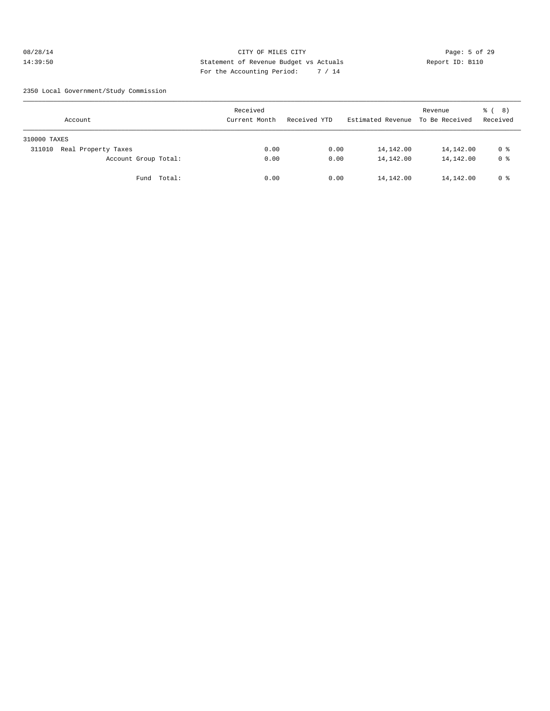# 08/28/14 Page: 5 of 29 14:39:50 Statement of Revenue Budget vs Actuals Report ID: B110 For the Accounting Period: 7 / 14

2350 Local Government/Study Commission

| Account                       | Received<br>Current Month | Received YTD | Estimated Revenue | Revenue<br>To Be Received | 8)<br>ී (<br>Received |
|-------------------------------|---------------------------|--------------|-------------------|---------------------------|-----------------------|
| 310000 TAXES                  |                           |              |                   |                           |                       |
| Real Property Taxes<br>311010 | 0.00                      | 0.00         | 14,142.00         | 14,142.00                 | 0 %                   |
| Account Group Total:          | 0.00                      | 0.00         | 14,142.00         | 14,142.00                 | 0 <sup>8</sup>        |
| Fund Total:                   | 0.00                      | 0.00         | 14,142.00         | 14,142.00                 | 0 %                   |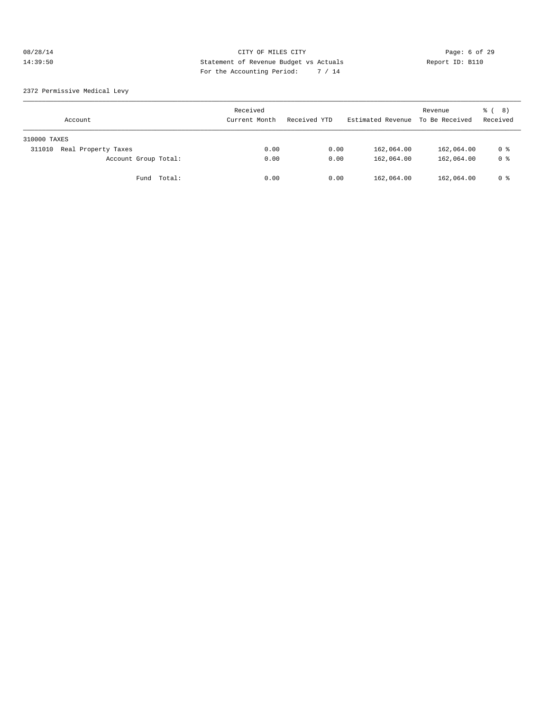# 08/28/14 CITY OF MILES CITY CHES CONTRACT Page: 6 of 29<br>14:39:50 Statement of Revenue Budget vs Actuals Report ID: B110<br>2.14 Page: the Accumulation Period: 2.44 14:39:50 Statement of Revenue Budget vs Actuals Report ID: B110 For the Accounting Period: 7 / 14

2372 Permissive Medical Levy

| Account                       | Received<br>Current Month | Received YTD | Estimated Revenue | Revenue<br>To Be Received | 8)<br>ී (<br>Received |
|-------------------------------|---------------------------|--------------|-------------------|---------------------------|-----------------------|
| 310000 TAXES                  |                           |              |                   |                           |                       |
| Real Property Taxes<br>311010 | 0.00                      | 0.00         | 162,064.00        | 162,064.00                | 0 %                   |
| Account Group Total:          | 0.00                      | 0.00         | 162,064.00        | 162,064.00                | 0 <sup>8</sup>        |
| Total:<br>Fund                | 0.00                      | 0.00         | 162,064.00        | 162,064.00                | 0 %                   |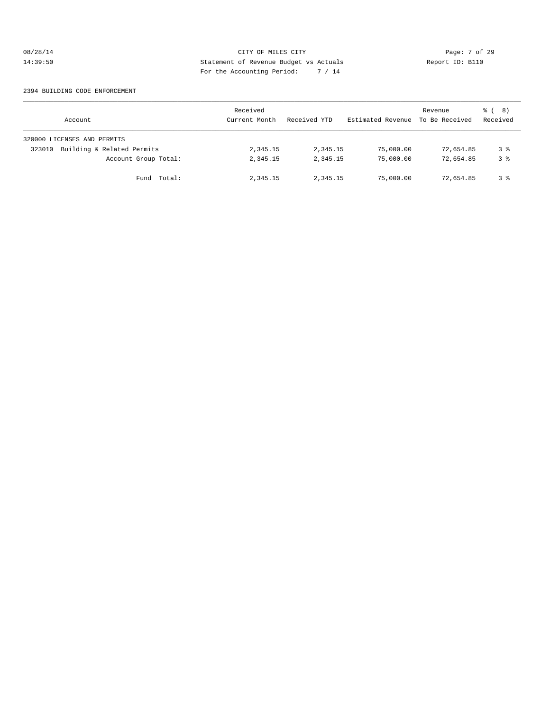# 08/28/14 Page: 7 of 29 14:39:50 Statement of Revenue Budget vs Actuals Report ID: B110 For the Accounting Period: 7 / 14

#### 2394 BUILDING CODE ENFORCEMENT

| Account                              | Received<br>Current Month | Received YTD | Estimated Revenue | Revenue<br>To Be Received | <sub>රී</sub> ( 8 )<br>Received |
|--------------------------------------|---------------------------|--------------|-------------------|---------------------------|---------------------------------|
| 320000 LICENSES AND PERMITS          |                           |              |                   |                           |                                 |
| Building & Related Permits<br>323010 | 2,345.15                  | 2,345.15     | 75,000.00         | 72,654.85                 | 3 %                             |
| Account Group Total:                 | 2,345.15                  | 2,345.15     | 75,000.00         | 72,654.85                 | 3 <sup>8</sup>                  |
| Fund Total:                          | 2,345.15                  | 2,345.15     | 75,000.00         | 72,654.85                 | 3 %                             |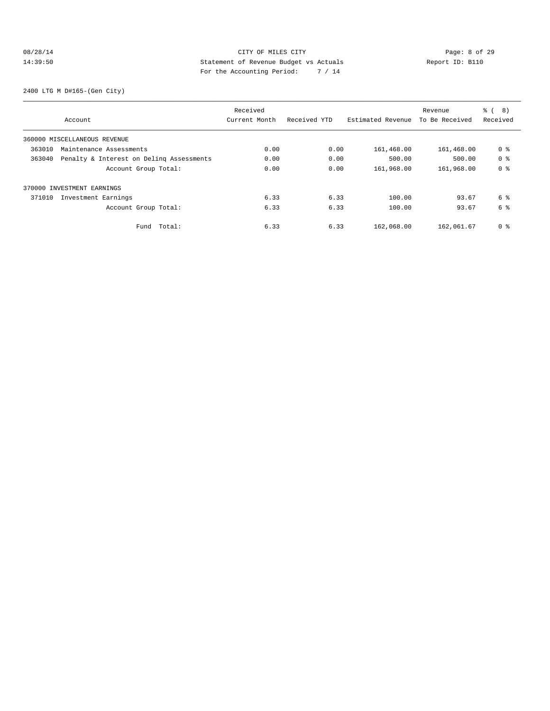# 08/28/14 CITY OF MILES CITY Page: 8 of 29 14:39:50 Statement of Revenue Budget vs Actuals Report ID: B110 For the Accounting Period: 7 / 14

2400 LTG M D#165-(Gen City)

|        |                                          | Received      |              |                   | Revenue        | $\approx$ (<br>8) |
|--------|------------------------------------------|---------------|--------------|-------------------|----------------|-------------------|
|        | Account                                  | Current Month | Received YTD | Estimated Revenue | To Be Received | Received          |
|        | 360000 MISCELLANEOUS REVENUE             |               |              |                   |                |                   |
| 363010 | Maintenance Assessments                  | 0.00          | 0.00         | 161,468.00        | 161,468.00     | 0 %               |
| 363040 | Penalty & Interest on Deling Assessments | 0.00          | 0.00         | 500.00            | 500.00         | 0 <sup>8</sup>    |
|        | Account Group Total:                     | 0.00          | 0.00         | 161,968.00        | 161,968.00     | 0 <sup>8</sup>    |
|        | 370000 INVESTMENT EARNINGS               |               |              |                   |                |                   |
| 371010 | Investment Earnings                      | 6.33          | 6.33         | 100.00            | 93.67          | 6 %               |
|        | Account Group Total:                     | 6.33          | 6.33         | 100.00            | 93.67          | 6 %               |
|        | Total:<br>Fund                           | 6.33          | 6.33         | 162,068.00        | 162,061.67     | 0 %               |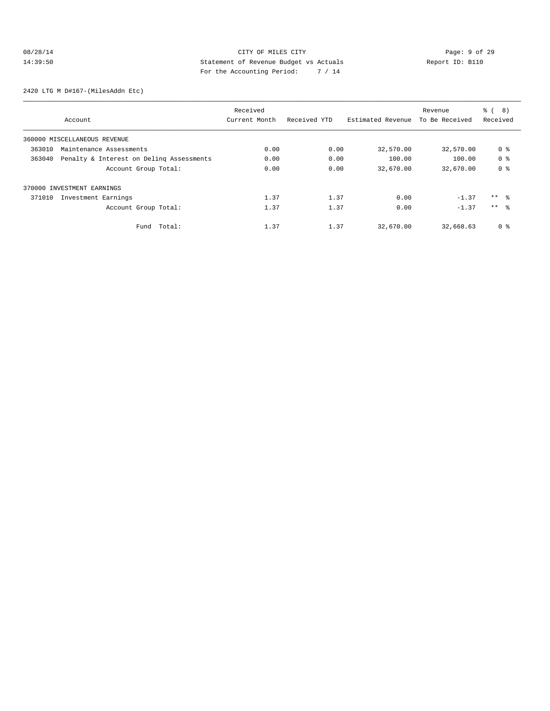# 08/28/14 CITY OF MILES CITY CHES CONTROL PAGE: 9 of 29<br>14:39:50 Statement of Revenue Budget vs Actuals Report ID: B110<br>2.14 Page: Page: Page: Page: 14:39:50 14:39:50 Statement of Revenue Budget vs Actuals Report ID: B110 For the Accounting Period: 7 / 14

2420 LTG M D#167-(MilesAddn Etc)

|        |                                          | Received      |              |                   | Revenue        | $\approx$ (<br>8) |
|--------|------------------------------------------|---------------|--------------|-------------------|----------------|-------------------|
|        | Account                                  | Current Month | Received YTD | Estimated Revenue | To Be Received | Received          |
|        | 360000 MISCELLANEOUS REVENUE             |               |              |                   |                |                   |
| 363010 | Maintenance Assessments                  | 0.00          | 0.00         | 32,570.00         | 32,570.00      | 0 <sup>8</sup>    |
| 363040 | Penalty & Interest on Deling Assessments | 0.00          | 0.00         | 100.00            | 100.00         | 0 <sup>8</sup>    |
|        | Account Group Total:                     | 0.00          | 0.00         | 32,670.00         | 32,670.00      | 0 <sup>8</sup>    |
|        | 370000 INVESTMENT EARNINGS               |               |              |                   |                |                   |
| 371010 | Investment Earnings                      | 1.37          | 1.37         | 0.00              | $-1.37$        | $***$ %           |
|        | Account Group Total:                     | 1.37          | 1.37         | 0.00              | $-1.37$        | $***$ $\approx$   |
|        | Total:<br>Fund                           | 1.37          | 1.37         | 32,670.00         | 32,668.63      | 0 <sup>8</sup>    |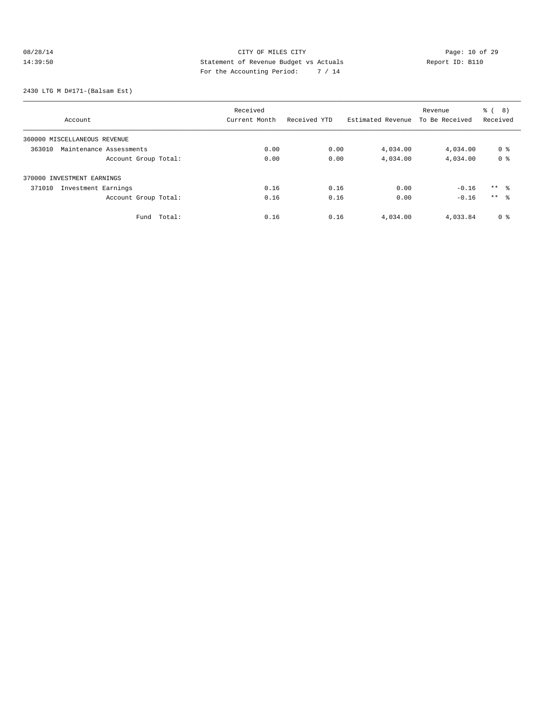# 08/28/14 Page: 10 of 29<br>14:39:50 CITY OF MILES CITY Page: 10 of 29<br>14:39:50 CITY Statement of Revenue Budget vs Actuals<br>For the Accounting Dominal:  $7 / 14$ 14:39:50 Statement of Revenue Budget vs Actuals Report ID: B110 For the Accounting Period: 7 / 14

2430 LTG M D#171-(Balsam Est)

|                                   | Received      |              |                   | Revenue        | 8)<br>ී (       |
|-----------------------------------|---------------|--------------|-------------------|----------------|-----------------|
| Account                           | Current Month | Received YTD | Estimated Revenue | To Be Received | Received        |
| 360000 MISCELLANEOUS REVENUE      |               |              |                   |                |                 |
| 363010<br>Maintenance Assessments | 0.00          | 0.00         | 4,034.00          | 4,034.00       | 0 <sup>8</sup>  |
| Account Group Total:              | 0.00          | 0.00         | 4,034.00          | 4,034.00       | 0 <sup>8</sup>  |
| 370000 INVESTMENT EARNINGS        |               |              |                   |                |                 |
| Investment Earnings<br>371010     | 0.16          | 0.16         | 0.00              | $-0.16$        | $***$ 8         |
| Account Group Total:              | 0.16          | 0.16         | 0.00              | $-0.16$        | $***$ $\approx$ |
| Total:<br>Fund                    | 0.16          | 0.16         | 4,034.00          | 4,033.84       | 0 <sup>8</sup>  |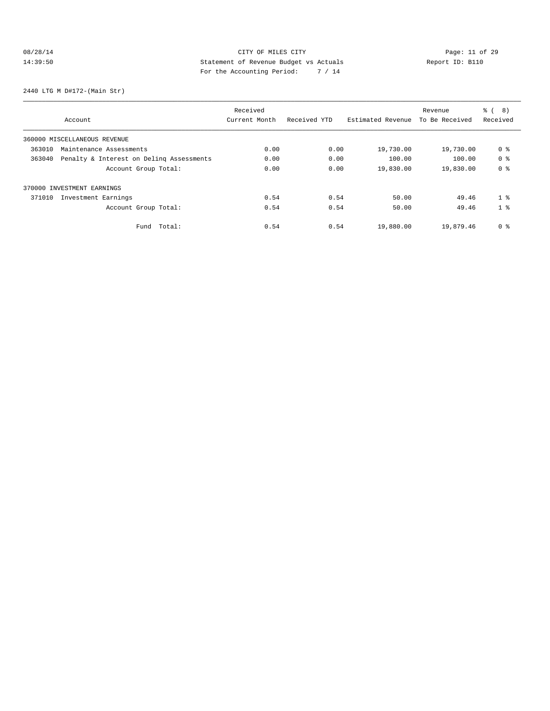# 08/28/14 Page: 11 of 29 14:39:50 Statement of Revenue Budget vs Actuals Report ID: B110 For the Accounting Period: 7 / 14

2440 LTG M D#172-(Main Str)

|                                                    | Received      |              |                   | Revenue        | 8)<br><b>%</b> ( |
|----------------------------------------------------|---------------|--------------|-------------------|----------------|------------------|
| Account                                            | Current Month | Received YTD | Estimated Revenue | To Be Received | Received         |
| 360000 MISCELLANEOUS REVENUE                       |               |              |                   |                |                  |
| 363010<br>Maintenance Assessments                  | 0.00          | 0.00         | 19,730.00         | 19,730.00      | 0 %              |
| Penalty & Interest on Deling Assessments<br>363040 | 0.00          | 0.00         | 100.00            | 100.00         | 0 <sup>8</sup>   |
| Account Group Total:                               | 0.00          | 0.00         | 19,830.00         | 19,830.00      | 0 <sub>8</sub>   |
| 370000 INVESTMENT EARNINGS                         |               |              |                   |                |                  |
| 371010<br>Investment Earnings                      | 0.54          | 0.54         | 50.00             | 49.46          | 1 <sup>8</sup>   |
| Account Group Total:                               | 0.54          | 0.54         | 50.00             | 49.46          | 1 <sup>8</sup>   |
| Total:<br>Fund                                     | 0.54          | 0.54         | 19,880.00         | 19,879.46      | 0 <sub>8</sub>   |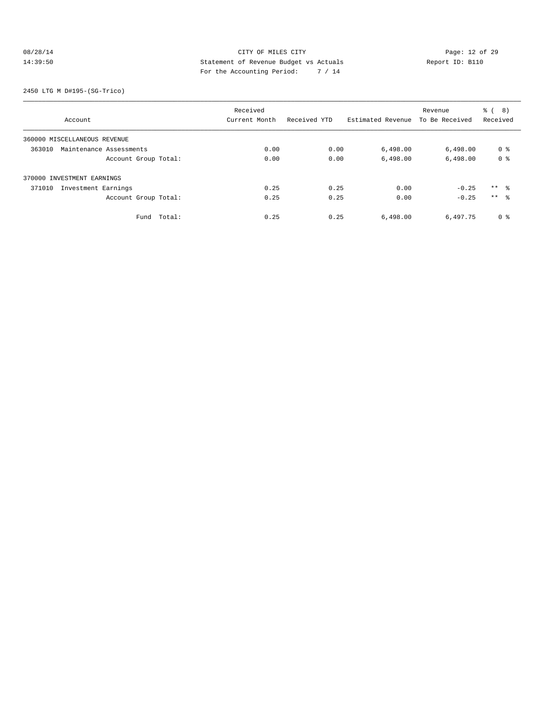# 08/28/14 Page: 12 of 29<br>14:39:50 CITY OF MILES CITY<br>14:39:50 Statement of Revenue Budget vs Actuals<br>14.14 Page: 12 of 29<br>14.14 Page: 12 of 29 14:39:50 Statement of Revenue Budget vs Actuals Report ID: B110 For the Accounting Period: 7 / 14

2450 LTG M D#195-(SG-Trico)

|                                   | Received      |              |                   | Revenue        | 8)<br>ී (       |
|-----------------------------------|---------------|--------------|-------------------|----------------|-----------------|
| Account                           | Current Month | Received YTD | Estimated Revenue | To Be Received | Received        |
| 360000 MISCELLANEOUS REVENUE      |               |              |                   |                |                 |
| 363010<br>Maintenance Assessments | 0.00          | 0.00         | 6,498.00          | 6,498.00       | 0 <sup>8</sup>  |
| Account Group Total:              | 0.00          | 0.00         | 6,498.00          | 6,498.00       | 0 <sup>8</sup>  |
| 370000 INVESTMENT EARNINGS        |               |              |                   |                |                 |
| Investment Earnings<br>371010     | 0.25          | 0.25         | 0.00              | $-0.25$        | ** 왕            |
| Account Group Total:              | 0.25          | 0.25         | 0.00              | $-0.25$        | $***$ $\approx$ |
| Total:<br>Fund                    | 0.25          | 0.25         | 6,498.00          | 6,497.75       | 0 %             |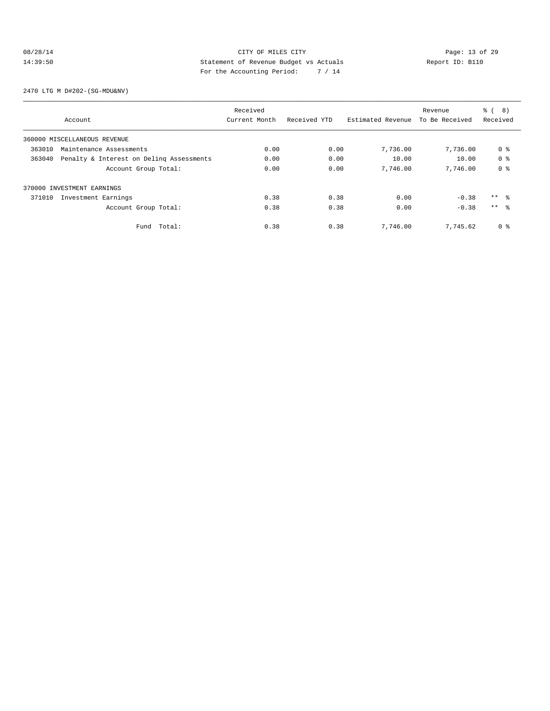# 08/28/14 Page: 13 of 29 14:39:50 Statement of Revenue Budget vs Actuals Report ID: B110 For the Accounting Period: 7 / 14

2470 LTG M D#202-(SG-MDU&NV)

|        |                                          | Received      |              |                   | Revenue        | ී (<br>8)       |
|--------|------------------------------------------|---------------|--------------|-------------------|----------------|-----------------|
|        | Account                                  | Current Month | Received YTD | Estimated Revenue | To Be Received | Received        |
|        | 360000 MISCELLANEOUS REVENUE             |               |              |                   |                |                 |
| 363010 | Maintenance Assessments                  | 0.00          | 0.00         | 7,736.00          | 7,736.00       | 0 %             |
| 363040 | Penalty & Interest on Deling Assessments | 0.00          | 0.00         | 10.00             | 10.00          | 0 <sup>8</sup>  |
|        | Account Group Total:                     | 0.00          | 0.00         | 7,746.00          | 7,746.00       | 0 <sup>8</sup>  |
|        | 370000 INVESTMENT EARNINGS               |               |              |                   |                |                 |
| 371010 | Investment Earnings                      | 0.38          | 0.38         | 0.00              | $-0.38$        | $***$ $ -$      |
|        | Account Group Total:                     | 0.38          | 0.38         | 0.00              | $-0.38$        | $***$ $\approx$ |
|        | Total:<br>Fund                           | 0.38          | 0.38         | 7,746.00          | 7.745.62       | 0 <sup>8</sup>  |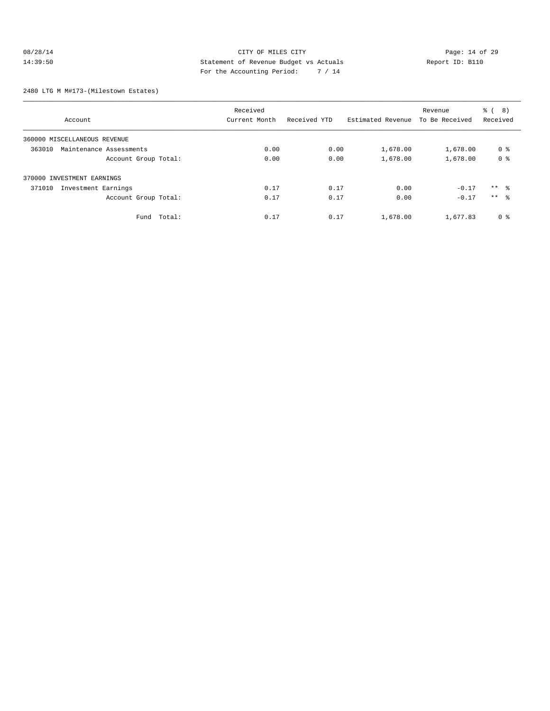# 08/28/14 Page: 14 of 29 14:39:50 Statement of Revenue Budget vs Actuals Report ID: B110<br>Report ID: B110 For the Accounting Period: 7 / 14

#### 2480 LTG M M#173-(Milestown Estates)

|                                   | Received      |              |                   | Revenue        | 8)<br>ී (      |
|-----------------------------------|---------------|--------------|-------------------|----------------|----------------|
| Account                           | Current Month | Received YTD | Estimated Revenue | To Be Received | Received       |
| 360000 MISCELLANEOUS REVENUE      |               |              |                   |                |                |
| 363010<br>Maintenance Assessments | 0.00          | 0.00         | 1,678.00          | 1,678.00       | 0 <sup>8</sup> |
| Account Group Total:              | 0.00          | 0.00         | 1,678.00          | 1,678.00       | 0 <sup>8</sup> |
| 370000 INVESTMENT EARNINGS        |               |              |                   |                |                |
| 371010<br>Investment Earnings     | 0.17          | 0.17         | 0.00              | $-0.17$        | $***$ 8        |
| Account Group Total:              | 0.17          | 0.17         | 0.00              | $-0.17$        | $***$ 8        |
| Fund Total:                       | 0.17          | 0.17         | 1,678.00          | 1,677.83       | 0 <sup>8</sup> |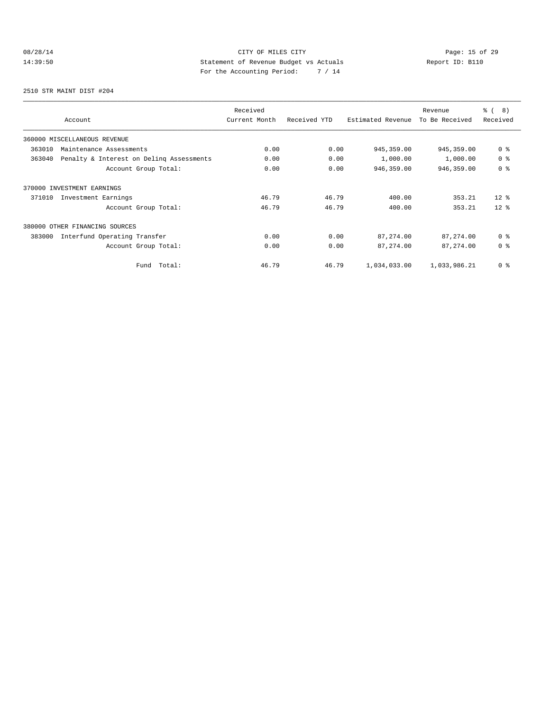# 08/28/14 Page: 15 of 29 14:39:50 Statement of Revenue Budget vs Actuals Report ID: B110<br>Report ID: B110 For the Accounting Period: 7 / 14

2510 STR MAINT DIST #204

| Account                                            | Received<br>Current Month | Received YTD | Estimated Revenue | Revenue<br>To Be Received | % ( 8 )<br>Received |
|----------------------------------------------------|---------------------------|--------------|-------------------|---------------------------|---------------------|
| 360000 MISCELLANEOUS REVENUE                       |                           |              |                   |                           |                     |
| 363010<br>Maintenance Assessments                  | 0.00                      | 0.00         | 945, 359.00       | 945,359.00                | 0 <sup>8</sup>      |
| 363040<br>Penalty & Interest on Deling Assessments | 0.00                      | 0.00         | 1,000.00          | 1,000.00                  | 0 <sup>8</sup>      |
| Account Group Total:                               | 0.00                      | 0.00         | 946,359.00        | 946,359.00                | 0 <sup>8</sup>      |
| 370000 INVESTMENT EARNINGS                         |                           |              |                   |                           |                     |
| Investment Earnings<br>371010                      | 46.79                     | 46.79        | 400.00            | 353.21                    | $12$ $\approx$      |
| Account Group Total:                               | 46.79                     | 46.79        | 400.00            | 353.21                    | $12*$               |
| 380000<br>OTHER FINANCING SOURCES                  |                           |              |                   |                           |                     |
| 383000<br>Interfund Operating Transfer             | 0.00                      | 0.00         | 87,274.00         | 87, 274.00                | 0 <sup>8</sup>      |
| Account Group Total:                               | 0.00                      | 0.00         | 87, 274.00        | 87, 274.00                | 0 <sup>8</sup>      |
| Total:<br>Fund                                     | 46.79                     | 46.79        | 1,034,033.00      | 1,033,986.21              | 0 <sup>8</sup>      |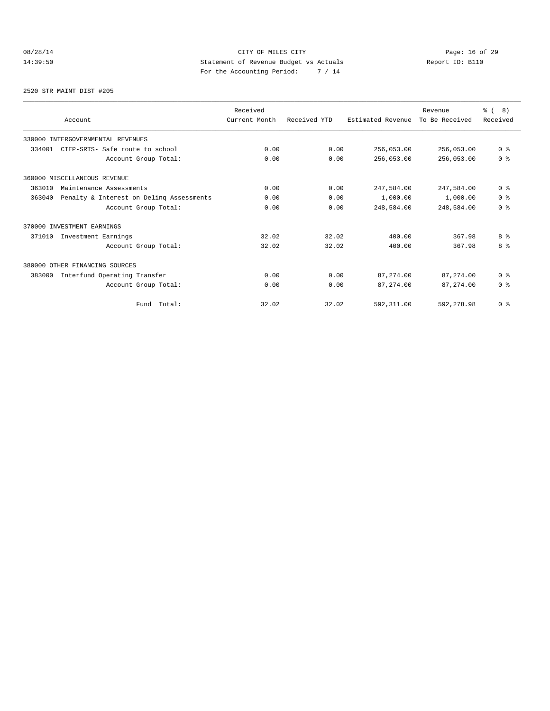# 08/28/14 Page: 16 of 29 14:39:50 Statement of Revenue Budget vs Actuals Report ID: B110 For the Accounting Period: 7 / 14

2520 STR MAINT DIST #205

| Account                                            | Received<br>Current Month | Received YTD | Estimated Revenue | Revenue<br>To Be Received | $\frac{6}{6}$ ( 8)<br>Received |
|----------------------------------------------------|---------------------------|--------------|-------------------|---------------------------|--------------------------------|
| 330000 INTERGOVERNMENTAL REVENUES                  |                           |              |                   |                           |                                |
| CTEP-SRTS- Safe route to school<br>334001          | 0.00                      | 0.00         | 256,053.00        | 256,053.00                | 0 <sup>8</sup>                 |
| Account Group Total:                               | 0.00                      | 0.00         | 256,053.00        | 256,053.00                | 0 <sup>8</sup>                 |
| 360000 MISCELLANEOUS REVENUE                       |                           |              |                   |                           |                                |
| 363010<br>Maintenance Assessments                  | 0.00                      | 0.00         | 247,584.00        | 247,584.00                | 0 <sup>8</sup>                 |
| Penalty & Interest on Deling Assessments<br>363040 | 0.00                      | 0.00         | 1,000.00          | 1,000.00                  | 0 <sup>8</sup>                 |
| Account Group Total:                               | 0.00                      | 0.00         | 248,584.00        | 248,584.00                | 0 <sup>8</sup>                 |
| 370000 INVESTMENT EARNINGS                         |                           |              |                   |                           |                                |
| Investment Earnings<br>371010                      | 32.02                     | 32.02        | 400.00            | 367.98                    | 8 %                            |
| Account Group Total:                               | 32.02                     | 32.02        | 400.00            | 367.98                    | 8 %                            |
| 380000 OTHER FINANCING SOURCES                     |                           |              |                   |                           |                                |
| Interfund Operating Transfer<br>383000             | 0.00                      | 0.00         | 87, 274, 00       | 87, 274, 00               | 0 <sup>8</sup>                 |
| Account Group Total:                               | 0.00                      | 0.00         | 87, 274, 00       | 87, 274, 00               | 0 <sup>8</sup>                 |
| Total:<br>Fund                                     | 32.02                     | 32.02        | 592, 311.00       | 592,278.98                | 0 <sup>8</sup>                 |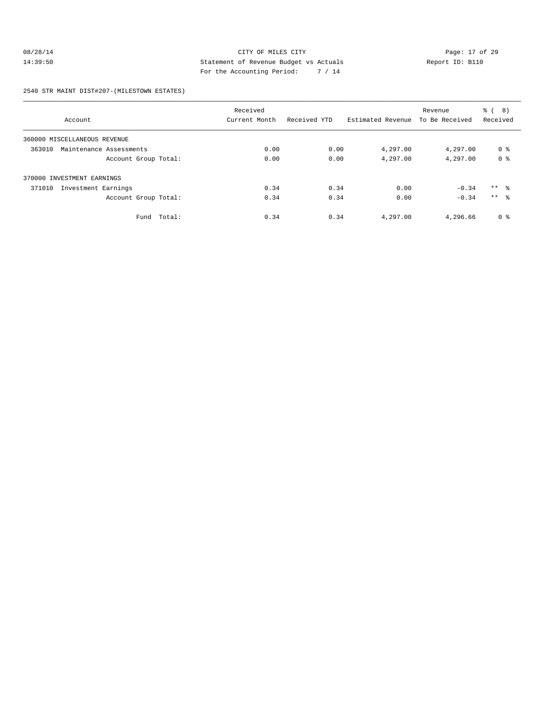# 08/28/14 Page: 17 of 29 14:39:50 Statement of Revenue Budget vs Actuals Report ID: B110 For the Accounting Period: 7 / 14

#### 2540 STR MAINT DIST#207-(MILESTOWN ESTATES)

| Account                           | Received<br>Current Month | Received YTD | Estimated Revenue | Revenue<br>To Be Received | ී (<br>(8)<br>Received |
|-----------------------------------|---------------------------|--------------|-------------------|---------------------------|------------------------|
| 360000 MISCELLANEOUS REVENUE      |                           |              |                   |                           |                        |
| 363010<br>Maintenance Assessments | 0.00                      | 0.00         | 4,297.00          | 4,297.00                  | 0 <sup>8</sup>         |
| Account Group Total:              | 0.00                      | 0.00         | 4,297.00          | 4,297.00                  | 0 <sup>8</sup>         |
| 370000 INVESTMENT EARNINGS        |                           |              |                   |                           |                        |
| 371010<br>Investment Earnings     | 0.34                      | 0.34         | 0.00              | $-0.34$                   | $***$ 8                |
| Account Group Total:              | 0.34                      | 0.34         | 0.00              | $-0.34$                   | $***$ $\approx$        |
| Fund Total:                       | 0.34                      | 0.34         | 4,297.00          | 4,296.66                  | 0 <sup>8</sup>         |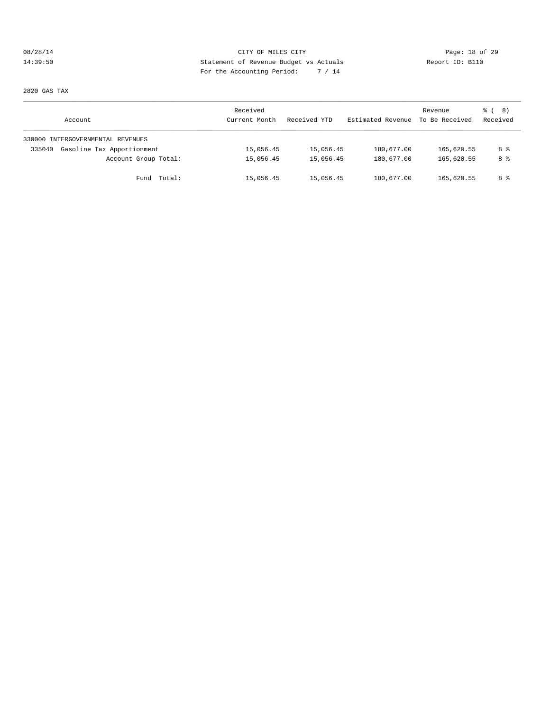# 08/28/14 Page: 18 of 29 14:39:50 Statement of Revenue Budget vs Actuals Report ID: B110 For the Accounting Period: 7 / 14

2820 GAS TAX

| Account                              | Received<br>Current Month | Received YTD | Estimated Revenue | Revenue<br>To Be Received | <sub>රී</sub> ( 8 )<br>Received |
|--------------------------------------|---------------------------|--------------|-------------------|---------------------------|---------------------------------|
| 330000 INTERGOVERNMENTAL REVENUES    |                           |              |                   |                           |                                 |
| Gasoline Tax Apportionment<br>335040 | 15,056.45                 | 15,056.45    | 180,677.00        | 165,620.55                | 8 %                             |
| Account Group Total:                 | 15,056.45                 | 15,056.45    | 180,677.00        | 165,620.55                | 8 %                             |
| Fund Total:                          | 15,056.45                 | 15,056.45    | 180,677.00        | 165,620.55                | 8 %                             |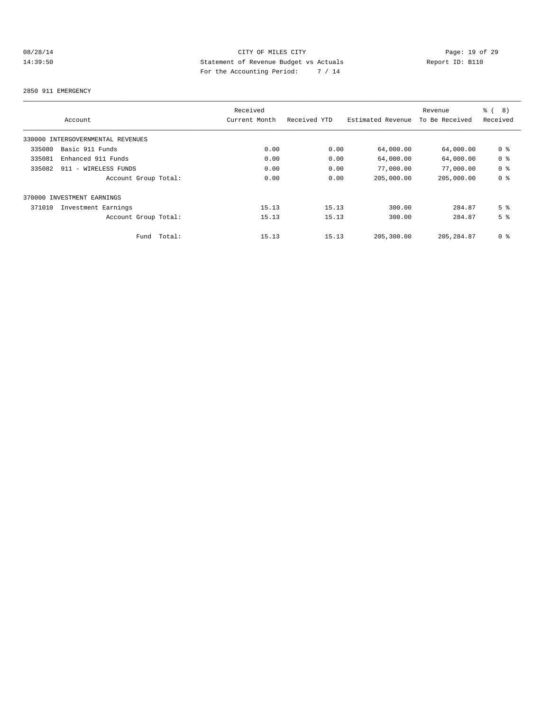# 08/28/14 Page: 19 of 29 14:39:50 Statement of Revenue Budget vs Actuals Report ID: B110 For the Accounting Period: 7 / 14

#### 2850 911 EMERGENCY

|                                   |        | Received      |              |                   | Revenue        | $\frac{6}{6}$<br>8) |
|-----------------------------------|--------|---------------|--------------|-------------------|----------------|---------------------|
| Account                           |        | Current Month | Received YTD | Estimated Revenue | To Be Received | Received            |
| 330000 INTERGOVERNMENTAL REVENUES |        |               |              |                   |                |                     |
| Basic 911 Funds<br>335080         |        | 0.00          | 0.00         | 64,000.00         | 64,000.00      | 0 <sub>8</sub>      |
| 335081<br>Enhanced 911 Funds      |        | 0.00          | 0.00         | 64,000.00         | 64,000.00      | 0 <sub>8</sub>      |
| 335082<br>911 - WIRELESS FUNDS    |        | 0.00          | 0.00         | 77,000.00         | 77,000.00      | 0 <sup>8</sup>      |
| Account Group Total:              |        | 0.00          | 0.00         | 205,000.00        | 205,000.00     | 0 <sup>8</sup>      |
| 370000 INVESTMENT EARNINGS        |        |               |              |                   |                |                     |
| 371010<br>Investment Earnings     |        | 15.13         | 15.13        | 300.00            | 284.87         | 5 <sup>8</sup>      |
| Account Group Total:              |        | 15.13         | 15.13        | 300.00            | 284.87         | 5 <sup>8</sup>      |
| Fund                              | Total: | 15.13         | 15.13        | 205,300.00        | 205, 284, 87   | 0 <sup>8</sup>      |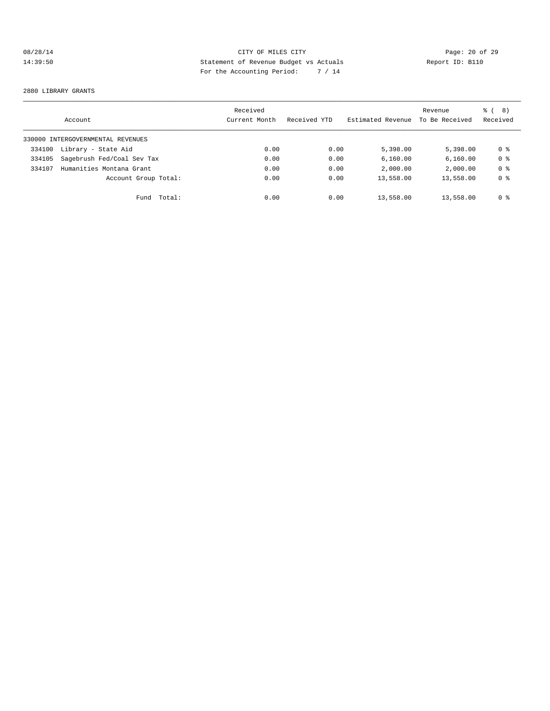# 08/28/14 Page: 20 of 29 14:39:50 Statement of Revenue Budget vs Actuals Report ID: B110 For the Accounting Period: 7 / 14

#### 2880 LIBRARY GRANTS

|        | Account                           |        | Received<br>Current Month | Received YTD | Estimated Revenue | Revenue<br>To Be Received | ී ( 8 )<br>Received |
|--------|-----------------------------------|--------|---------------------------|--------------|-------------------|---------------------------|---------------------|
|        | 330000 INTERGOVERNMENTAL REVENUES |        |                           |              |                   |                           |                     |
| 334100 | Library - State Aid               |        | 0.00                      | 0.00         | 5,398.00          | 5,398,00                  | 0 %                 |
| 334105 | Sagebrush Fed/Coal Sev Tax        |        | 0.00                      | 0.00         | 6,160.00          | 6.160.00                  | 0 <sup>8</sup>      |
| 334107 | Humanities Montana Grant          |        | 0.00                      | 0.00         | 2,000.00          | 2,000.00                  | 0 <sub>8</sub>      |
|        | Account Group Total:              |        | 0.00                      | 0.00         | 13,558.00         | 13,558.00                 | 0 <sub>8</sub>      |
|        | Fund                              | Total: | 0.00                      | 0.00         | 13,558.00         | 13,558.00                 | 0 %                 |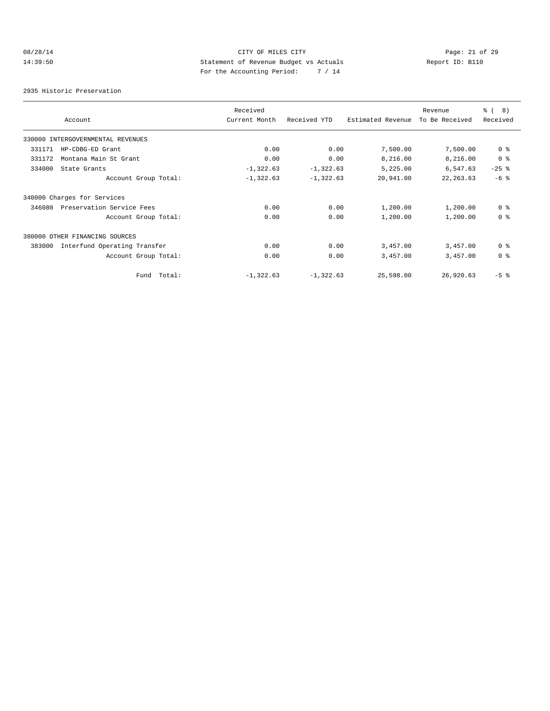# 08/28/14 Page: 21 of 29 14:39:50 Statement of Revenue Budget vs Actuals Report ID: B110 For the Accounting Period: 7 / 14

2935 Historic Preservation

|        |                                   | Received      |              |                   | Revenue        | ී (<br>8)      |
|--------|-----------------------------------|---------------|--------------|-------------------|----------------|----------------|
|        | Account                           | Current Month | Received YTD | Estimated Revenue | To Be Received | Received       |
|        | 330000 INTERGOVERNMENTAL REVENUES |               |              |                   |                |                |
| 331171 | HP-CDBG-ED Grant                  | 0.00          | 0.00         | 7,500.00          | 7,500.00       | 0 <sub>8</sub> |
| 331172 | Montana Main St Grant             | 0.00          | 0.00         | 8,216.00          | 8,216.00       | 0 <sup>8</sup> |
| 334000 | State Grants                      | $-1, 322.63$  | $-1, 322.63$ | 5,225.00          | 6,547.63       | $-25$ %        |
|        | Account Group Total:              | $-1,322.63$   | $-1,322.63$  | 20,941.00         | 22, 263.63     | $-6$ %         |
|        | 340000 Charges for Services       |               |              |                   |                |                |
| 346080 | Preservation Service Fees         | 0.00          | 0.00         | 1,200.00          | 1,200.00       | 0 <sup>8</sup> |
|        | Account Group Total:              | 0.00          | 0.00         | 1,200.00          | 1,200.00       | 0 <sup>8</sup> |
|        | 380000 OTHER FINANCING SOURCES    |               |              |                   |                |                |
| 383000 | Interfund Operating Transfer      | 0.00          | 0.00         | 3,457.00          | 3,457.00       | 0 <sup>8</sup> |
|        | Account Group Total:              | 0.00          | 0.00         | 3,457.00          | 3,457.00       | 0 <sup>8</sup> |
|        | Fund Total:                       | $-1,322.63$   | $-1,322.63$  | 25,598.00         | 26,920.63      | $-5$ $%$       |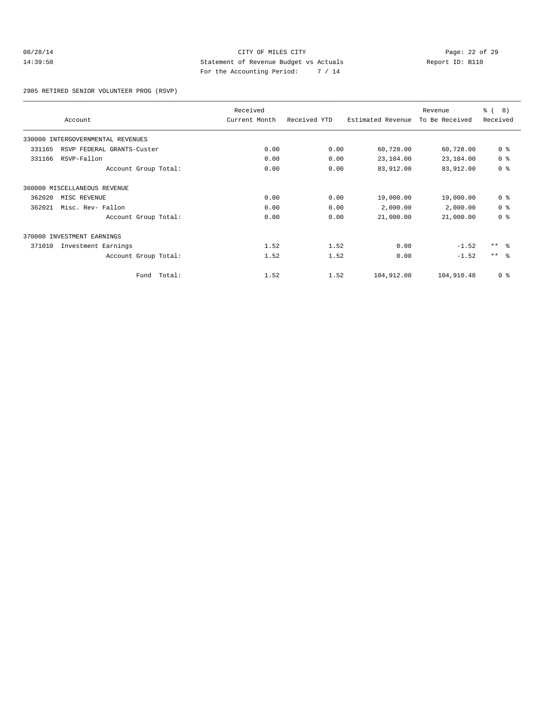#### 08/28/14 Page: 22 of 29 14:39:50 Statement of Revenue Budget vs Actuals Report ID: B110 For the Accounting Period: 7 / 14

2985 RETIRED SENIOR VOLUNTEER PROG (RSVP)

|                                      |        | Received      |              |                   | Revenue        | <b>ී</b> (<br>8) |
|--------------------------------------|--------|---------------|--------------|-------------------|----------------|------------------|
| Account                              |        | Current Month | Received YTD | Estimated Revenue | To Be Received | Received         |
| 330000 INTERGOVERNMENTAL REVENUES    |        |               |              |                   |                |                  |
| 331165<br>RSVP FEDERAL GRANTS-Custer |        | 0.00          | 0.00         | 60,728.00         | 60,728.00      | 0 <sup>8</sup>   |
| 331166<br>RSVP-Fallon                |        | 0.00          | 0.00         | 23,184.00         | 23,184.00      | 0 <sup>8</sup>   |
| Account Group Total:                 |        | 0.00          | 0.00         | 83,912.00         | 83,912.00      | 0 <sup>8</sup>   |
| 360000 MISCELLANEOUS REVENUE         |        |               |              |                   |                |                  |
| 362020<br>MISC REVENUE               |        | 0.00          | 0.00         | 19,000.00         | 19,000.00      | 0 <sup>8</sup>   |
| 362021<br>Misc. Rev- Fallon          |        | 0.00          | 0.00         | 2,000.00          | 2,000.00       | 0 <sup>8</sup>   |
| Account Group Total:                 |        | 0.00          | 0.00         | 21,000.00         | 21,000.00      | 0 <sup>8</sup>   |
| 370000 INVESTMENT EARNINGS           |        |               |              |                   |                |                  |
| 371010<br>Investment Earnings        |        | 1.52          | 1.52         | 0.00              | $-1.52$        | $***$ $\approx$  |
| Account Group Total:                 |        | 1.52          | 1.52         | 0.00              | $-1.52$        | $***$ $ -$       |
| Fund                                 | Total: | 1.52          | 1.52         | 104,912.00        | 104,910.48     | 0 <sup>8</sup>   |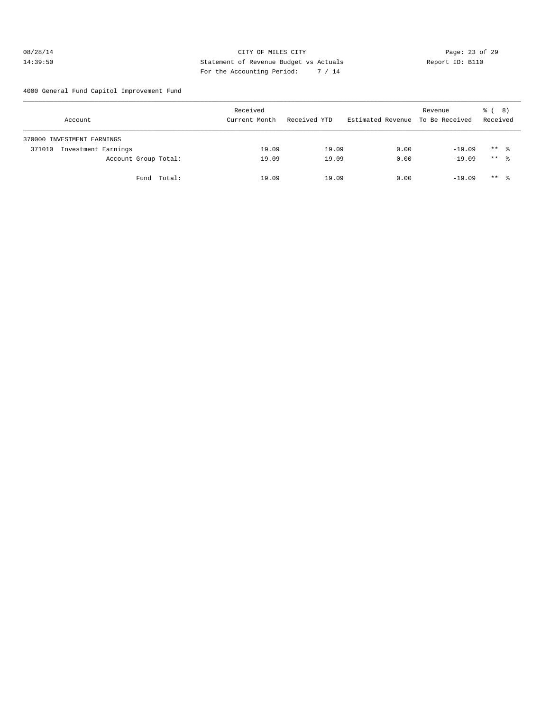#### 08/28/14 Page: 23 of 29 14:39:50 Statement of Revenue Budget vs Actuals Report ID: B110 For the Accounting Period: 7 / 14

4000 General Fund Capitol Improvement Fund

| Account                    |                      |             | Received<br>Current Month | Received YTD | Estimated Revenue To Be Received | Revenue  | <sub>රී</sub> ( 8 )<br>Received |  |
|----------------------------|----------------------|-------------|---------------------------|--------------|----------------------------------|----------|---------------------------------|--|
| 370000 INVESTMENT EARNINGS |                      |             |                           |              |                                  |          |                                 |  |
| 371010                     | Investment Earnings  |             | 19.09                     | 19.09        | 0.00                             | $-19.09$ | $***$ %                         |  |
|                            | Account Group Total: |             | 19.09                     | 19.09        | 0.00                             | $-19.09$ | $***$ %                         |  |
|                            |                      | Fund Total: | 19.09                     | 19.09        | 0.00                             | $-19.09$ | $***$ %                         |  |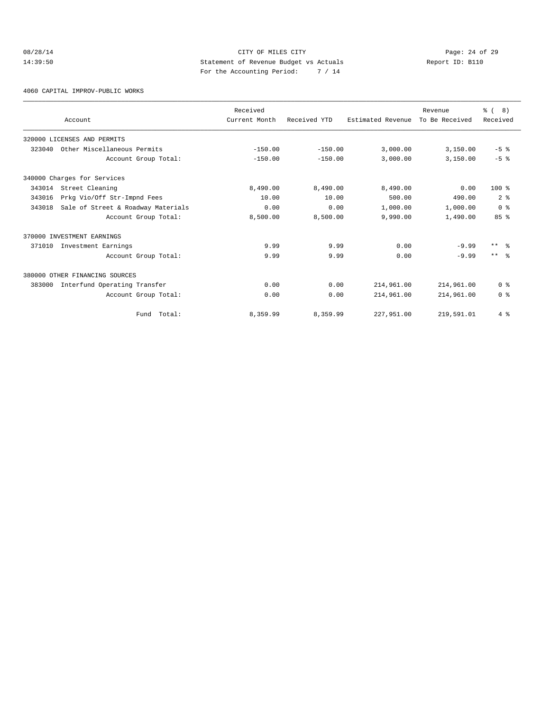# 08/28/14 Page: 24 of 29 14:39:50 Statement of Revenue Budget vs Actuals Report ID: B110 For the Accounting Period: 7 / 14

4060 CAPITAL IMPROV-PUBLIC WORKS

|        | Account                            | Received<br>Current Month | Received YTD | Estimated Revenue | Revenue<br>To Be Received | % ( 8 )<br>Received |
|--------|------------------------------------|---------------------------|--------------|-------------------|---------------------------|---------------------|
|        | 320000 LICENSES AND PERMITS        |                           |              |                   |                           |                     |
| 323040 | Other Miscellaneous Permits        | $-150.00$                 | $-150.00$    | 3,000.00          | 3,150.00                  | $-5$ $%$            |
|        | Account Group Total:               | $-150.00$                 | $-150.00$    | 3.000.00          | 3,150.00                  | $-5$ $%$            |
|        | 340000 Charges for Services        |                           |              |                   |                           |                     |
| 343014 | Street Cleaning                    | 8,490.00                  | 8,490.00     | 8,490.00          | 0.00                      | $100*$              |
| 343016 | Prkg Vio/Off Str-Impnd Fees        | 10.00                     | 10.00        | 500.00            | 490.00                    | 2 <sup>8</sup>      |
| 343018 | Sale of Street & Roadway Materials | 0.00                      | 0.00         | 1,000.00          | 1,000.00                  | 0 <sup>8</sup>      |
|        | Account Group Total:               | 8,500.00                  | 8,500.00     | 9,990.00          | 1,490.00                  | 85%                 |
|        | 370000 INVESTMENT EARNINGS         |                           |              |                   |                           |                     |
| 371010 | Investment Earnings                | 9.99                      | 9.99         | 0.00              | $-9.99$                   | $***$<br>ু ৯        |
|        | Account Group Total:               | 9.99                      | 9.99         | 0.00              | $-9.99$                   | $***$ $ -$          |
|        | 380000 OTHER FINANCING SOURCES     |                           |              |                   |                           |                     |
| 383000 | Interfund Operating Transfer       | 0.00                      | 0.00         | 214,961.00        | 214,961.00                | 0 <sup>8</sup>      |
|        | Account Group Total:               | 0.00                      | 0.00         | 214,961.00        | 214,961.00                | 0 <sup>8</sup>      |
|        | Fund Total:                        | 8,359.99                  | 8,359.99     | 227,951.00        | 219,591.01                | 4%                  |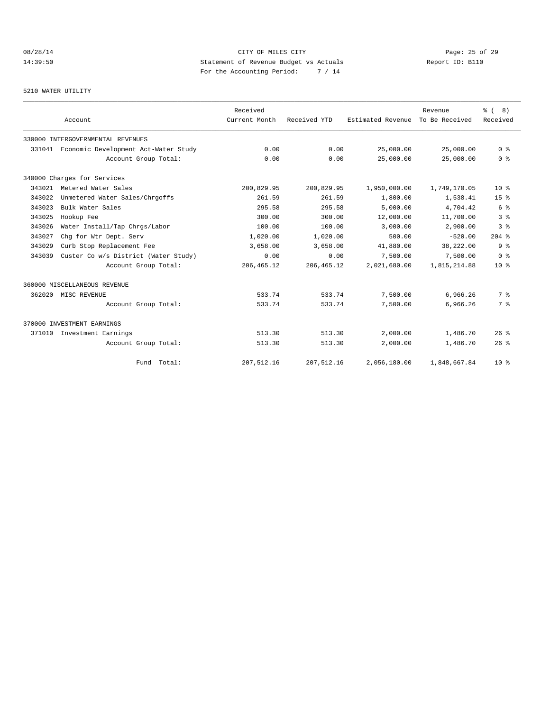# 08/28/14 Page: 25 of 29 14:39:50 Statement of Revenue Budget vs Actuals Report ID: B110 For the Accounting Period: 7 / 14

#### 5210 WATER UTILITY

|        |                                             | Received      |              |                   | Revenue        | <sub>ර</sub> 8) |
|--------|---------------------------------------------|---------------|--------------|-------------------|----------------|-----------------|
|        | Account                                     | Current Month | Received YTD | Estimated Revenue | To Be Received | Received        |
|        | 330000 INTERGOVERNMENTAL REVENUES           |               |              |                   |                |                 |
|        | 331041 Economic Development Act-Water Study | 0.00          | 0.00         | 25,000.00         | 25,000.00      | 0 <sup>8</sup>  |
|        | Account Group Total:                        | 0.00          | 0.00         | 25,000.00         | 25,000.00      | 0 <sup>8</sup>  |
|        | 340000 Charges for Services                 |               |              |                   |                |                 |
|        | 343021 Metered Water Sales                  | 200,829.95    | 200,829.95   | 1,950,000.00      | 1,749,170.05   | $10*$           |
| 343022 | Unmetered Water Sales/Chrgoffs              | 261.59        | 261.59       | 1,800.00          | 1,538.41       | 15 <sup>8</sup> |
| 343023 | Bulk Water Sales                            | 295.58        | 295.58       | 5,000.00          | 4,704.42       | 6 %             |
| 343025 | Hookup Fee                                  | 300.00        | 300.00       | 12,000.00         | 11,700.00      | 3%              |
| 343026 | Water Install/Tap Chrgs/Labor               | 100.00        | 100.00       | 3,000.00          | 2,900.00       | 3 <sup>8</sup>  |
| 343027 | Chq for Wtr Dept. Serv                      | 1,020.00      | 1,020.00     | 500.00            | $-520.00$      | $204$ %         |
| 343029 | Curb Stop Replacement Fee                   | 3,658.00      | 3,658.00     | 41,880.00         | 38,222.00      | 9 <sup>8</sup>  |
| 343039 | Custer Co w/s District (Water Study)        | 0.00          | 0.00         | 7,500.00          | 7,500.00       | 0 <sup>8</sup>  |
|        | Account Group Total:                        | 206, 465.12   | 206, 465.12  | 2,021,680.00      | 1,815,214.88   | $10*$           |
|        | 360000 MISCELLANEOUS REVENUE                |               |              |                   |                |                 |
| 362020 | MISC REVENUE                                | 533.74        | 533.74       | 7,500.00          | 6,966.26       | 7 %             |
|        | Account Group Total:                        | 533.74        | 533.74       | 7,500.00          | 6,966.26       | 7 %             |
|        | 370000 INVESTMENT EARNINGS                  |               |              |                   |                |                 |
|        | 371010 Investment Earnings                  | 513.30        | 513.30       | 2,000.00          | 1,486.70       | 26%             |
|        | Account Group Total:                        | 513.30        | 513.30       | 2,000.00          | 1,486.70       | 26%             |
|        | Fund Total:                                 | 207, 512.16   | 207,512.16   | 2,056,180.00      | 1,848,667.84   | $10*$           |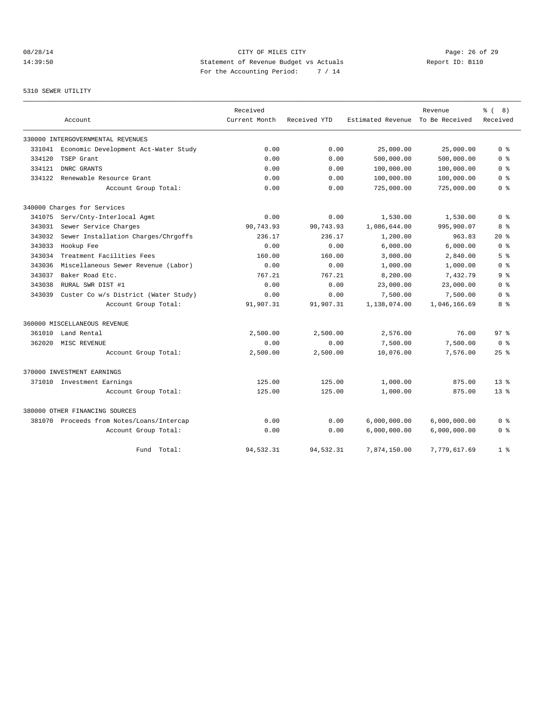# 08/28/14 Page: 26 of 29 14:39:50 Statement of Revenue Budget vs Actuals Report ID: B110 For the Accounting Period: 7 / 14

#### 5310 SEWER UTILITY

|        |                                      | Received      |              |                   | Revenue        | ී (<br>8)       |
|--------|--------------------------------------|---------------|--------------|-------------------|----------------|-----------------|
|        | Account                              | Current Month | Received YTD | Estimated Revenue | To Be Received | Received        |
|        | 330000 INTERGOVERNMENTAL REVENUES    |               |              |                   |                |                 |
| 331041 | Economic Development Act-Water Study | 0.00          | 0.00         | 25,000.00         | 25,000.00      | 0 <sup>8</sup>  |
| 334120 | TSEP Grant                           | 0.00          | 0.00         | 500,000.00        | 500,000.00     | 0 <sup>8</sup>  |
| 334121 | DNRC GRANTS                          | 0.00          | 0.00         | 100,000.00        | 100,000.00     | 0 %             |
| 334122 | Renewable Resource Grant             | 0.00          | 0.00         | 100,000.00        | 100,000.00     | 0 <sup>8</sup>  |
|        | Account Group Total:                 | 0.00          | 0.00         | 725,000.00        | 725,000.00     | 0 <sup>8</sup>  |
|        | 340000 Charges for Services          |               |              |                   |                |                 |
| 341075 | Serv/Cnty-Interlocal Agmt            | 0.00          | 0.00         | 1,530.00          | 1,530.00       | 0 %             |
| 343031 | Sewer Service Charges                | 90,743.93     | 90,743.93    | 1,086,644.00      | 995,900.07     | 8 %             |
| 343032 | Sewer Installation Charges/Chrgoffs  | 236.17        | 236.17       | 1,200.00          | 963.83         | $20*$           |
| 343033 | Hookup Fee                           | 0.00          | 0.00         | 6,000.00          | 6.000.00       | 0 <sup>8</sup>  |
| 343034 | Treatment Facilities Fees            | 160.00        | 160.00       | 3,000.00          | 2,840.00       | 5 <sup>8</sup>  |
| 343036 | Miscellaneous Sewer Revenue (Labor)  | 0.00          | 0.00         | 1,000.00          | 1,000.00       | 0 %             |
| 343037 | Baker Road Etc.                      | 767.21        | 767.21       | 8,200.00          | 7,432.79       | 9 %             |
| 343038 | RURAL SWR DIST #1                    | 0.00          | 0.00         | 23,000.00         | 23,000.00      | 0 %             |
| 343039 | Custer Co w/s District (Water Study) | 0.00          | 0.00         | 7,500.00          | 7,500.00       | 0 <sup>8</sup>  |
|        | Account Group Total:                 | 91,907.31     | 91,907.31    | 1,138,074.00      | 1,046,166.69   | 8%              |
|        | 360000 MISCELLANEOUS REVENUE         |               |              |                   |                |                 |
| 361010 | Land Rental                          | 2,500.00      | 2,500.00     | 2,576.00          | 76.00          | 97 <sup>8</sup> |
| 362020 | MISC REVENUE                         | 0.00          | 0.00         | 7,500.00          | 7,500.00       | 0 <sup>8</sup>  |
|        | Account Group Total:                 | 2,500.00      | 2,500.00     | 10,076.00         | 7,576.00       | $25$ %          |
|        | 370000 INVESTMENT EARNINGS           |               |              |                   |                |                 |
| 371010 | Investment Earnings                  | 125.00        | 125.00       | 1,000.00          | 875.00         | 13 <sup>8</sup> |
|        | Account Group Total:                 | 125.00        | 125.00       | 1,000.00          | 875.00         | $13*$           |
|        | 380000 OTHER FINANCING SOURCES       |               |              |                   |                |                 |
| 381070 | Proceeds from Notes/Loans/Intercap   | 0.00          | 0.00         | 6,000,000.00      | 6,000,000.00   | 0 %             |
|        | Account Group Total:                 | 0.00          | 0.00         | 6,000,000.00      | 6,000,000.00   | 0 <sup>8</sup>  |
|        | Fund Total:                          | 94,532.31     | 94,532.31    | 7,874,150.00      | 7,779,617.69   | 1 <sup>8</sup>  |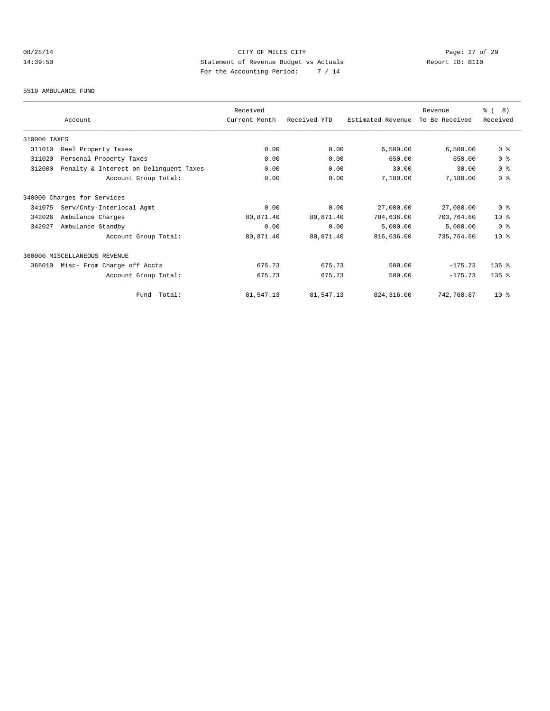# 08/28/14 Page: 27 of 29 14:39:50 Statement of Revenue Budget vs Actuals Report ID: B110 For the Accounting Period: 7 / 14

#### 5510 AMBULANCE FUND

|              | Account                                | Received<br>Current Month | Received YTD | Estimated Revenue | Revenue<br>To Be Received | ී (<br>8)<br>Received |
|--------------|----------------------------------------|---------------------------|--------------|-------------------|---------------------------|-----------------------|
| 310000 TAXES |                                        |                           |              |                   |                           |                       |
| 311010       | Real Property Taxes                    | 0.00                      | 0.00         | 6,500.00          | 6,500.00                  | 0 <sup>8</sup>        |
| 311020       | Personal Property Taxes                | 0.00                      | 0.00         | 650.00            | 650.00                    | 0 <sup>8</sup>        |
| 312000       | Penalty & Interest on Delinquent Taxes | 0.00                      | 0.00         | 30.00             | 30.00                     | 0 <sup>8</sup>        |
|              | Account Group Total:                   | 0.00                      | 0.00         | 7,180.00          | 7,180.00                  | 0 <sup>8</sup>        |
|              | 340000 Charges for Services            |                           |              |                   |                           |                       |
| 341075       | Serv/Cnty-Interlocal Agmt              | 0.00                      | 0.00         | 27,000.00         | 27,000.00                 | 0 <sup>8</sup>        |
| 342026       | Ambulance Charges                      | 80,871.40                 | 80,871.40    | 784,636.00        | 703,764.60                | $10*$                 |
| 342027       | Ambulance Standby                      | 0.00                      | 0.00         | 5,000.00          | 5,000.00                  | 0 <sup>8</sup>        |
|              | Account Group Total:                   | 80,871.40                 | 80,871.40    | 816,636.00        | 735,764.60                | $10*$                 |
|              | 360000 MISCELLANEOUS REVENUE           |                           |              |                   |                           |                       |
| 366010       | Misc- From Charge off Accts            | 675.73                    | 675.73       | 500.00            | $-175.73$                 | $135$ $%$             |
|              | Account Group Total:                   | 675.73                    | 675.73       | 500.00            | $-175.73$                 | $135$ $%$             |
|              | Fund Total:                            | 81,547.13                 | 81,547.13    | 824, 316, 00      | 742,768.87                | 10 <sup>8</sup>       |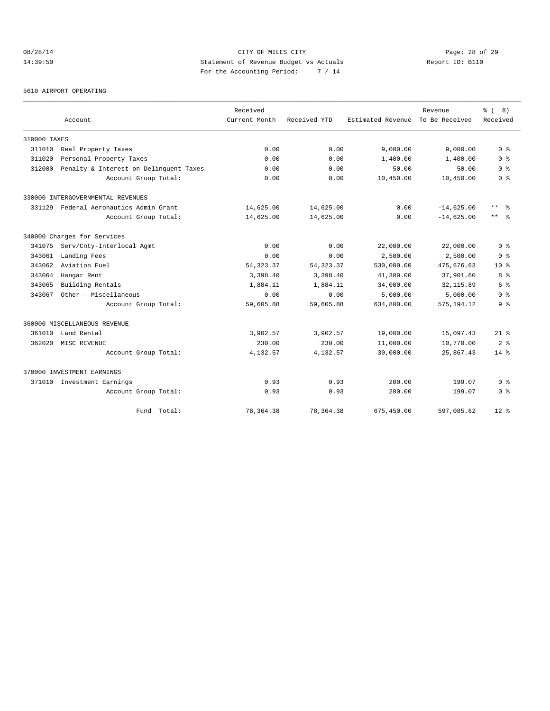# 08/28/14 Page: 28 of 29 14:39:50 Statement of Revenue Budget vs Actuals Report ID: B110 For the Accounting Period: 7 / 14

#### 5610 AIRPORT OPERATING

|              |                                        | Received      |              |                   | Revenue        | $\approx$ (<br>8) |
|--------------|----------------------------------------|---------------|--------------|-------------------|----------------|-------------------|
|              | Account                                | Current Month | Received YTD | Estimated Revenue | To Be Received | Received          |
| 310000 TAXES |                                        |               |              |                   |                |                   |
| 311010       | Real Property Taxes                    | 0.00          | 0.00         | 9,000.00          | 9,000.00       | 0 <sup>8</sup>    |
| 311020       | Personal Property Taxes                | 0.00          | 0.00         | 1,400.00          | 1,400.00       | 0 <sup>8</sup>    |
| 312000       | Penalty & Interest on Delinquent Taxes | 0.00          | 0.00         | 50.00             | 50.00          | 0 <sup>8</sup>    |
|              | Account Group Total:                   | 0.00          | 0.00         | 10,450.00         | 10,450.00      | 0 <sup>8</sup>    |
|              | 330000 INTERGOVERNMENTAL REVENUES      |               |              |                   |                |                   |
| 331129       | Federal Aeronautics Admin Grant        | 14,625.00     | 14,625.00    | 0.00              | $-14,625.00$   | $***$<br>- 옹      |
|              | Account Group Total:                   | 14,625.00     | 14,625.00    | 0.00              | $-14,625.00$   | $***$ $ -$        |
|              | 340000 Charges for Services            |               |              |                   |                |                   |
| 341075       | Serv/Cnty-Interlocal Agmt              | 0.00          | 0.00         | 22,000.00         | 22,000.00      | 0 <sup>8</sup>    |
| 343061       | Landing Fees                           | 0.00          | 0.00         | 2,500.00          | 2,500.00       | 0 <sup>8</sup>    |
| 343062       | Aviation Fuel                          | 54, 323.37    | 54, 323.37   | 530,000.00        | 475,676.63     | $10*$             |
| 343064       | Hangar Rent                            | 3,398.40      | 3,398.40     | 41,300.00         | 37,901.60      | 8 %               |
| 343065       | Building Rentals                       | 1,884.11      | 1,884.11     | 34,000.00         | 32, 115.89     | 6 %               |
| 343067       | Other - Miscellaneous                  | 0.00          | 0.00         | 5,000.00          | 5,000.00       | 0 <sup>8</sup>    |
|              | Account Group Total:                   | 59,605.88     | 59,605.88    | 634,800.00        | 575, 194.12    | 9 %               |
|              | 360000 MISCELLANEOUS REVENUE           |               |              |                   |                |                   |
| 361010       | Land Rental                            | 3,902.57      | 3,902.57     | 19,000.00         | 15,097.43      | $21$ %            |
| 362020       | MISC REVENUE                           | 230.00        | 230.00       | 11,000.00         | 10,770.00      | 2 <sup>8</sup>    |
|              | Account Group Total:                   | 4,132.57      | 4,132.57     | 30,000.00         | 25,867.43      | $14*$             |
|              | 370000 INVESTMENT EARNINGS             |               |              |                   |                |                   |
|              | 371010 Investment Earnings             | 0.93          | 0.93         | 200.00            | 199.07         | 0 <sup>8</sup>    |
|              | Account Group Total:                   | 0.93          | 0.93         | 200.00            | 199.07         | 0 <sup>8</sup>    |
|              | Fund Total:                            | 78, 364. 38   | 78, 364. 38  | 675,450.00        | 597,085.62     | $12*$             |